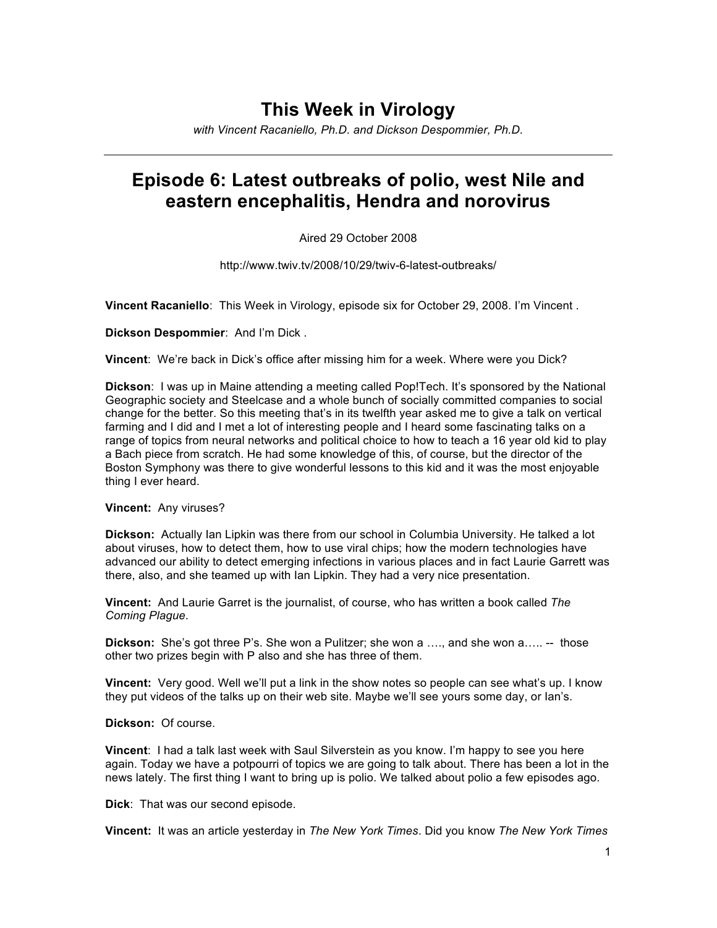# **This Week in Virology**

*with Vincent Racaniello, Ph.D. and Dickson Despommier, Ph.D.*

# **Episode 6: Latest outbreaks of polio, west Nile and eastern encephalitis, Hendra and norovirus**

### Aired 29 October 2008

http://www.twiv.tv/2008/10/29/twiv-6-latest-outbreaks/

**Vincent Racaniello**: This Week in Virology, episode six for October 29, 2008. I'm Vincent .

**Dickson Despommier**: And I'm Dick .

**Vincent**: We're back in Dick's office after missing him for a week. Where were you Dick?

**Dickson**: I was up in Maine attending a meeting called Pop!Tech. It's sponsored by the National Geographic society and Steelcase and a whole bunch of socially committed companies to social change for the better. So this meeting that's in its twelfth year asked me to give a talk on vertical farming and I did and I met a lot of interesting people and I heard some fascinating talks on a range of topics from neural networks and political choice to how to teach a 16 year old kid to play a Bach piece from scratch. He had some knowledge of this, of course, but the director of the Boston Symphony was there to give wonderful lessons to this kid and it was the most enjoyable thing I ever heard.

**Vincent:** Any viruses?

**Dickson:** Actually Ian Lipkin was there from our school in Columbia University. He talked a lot about viruses, how to detect them, how to use viral chips; how the modern technologies have advanced our ability to detect emerging infections in various places and in fact Laurie Garrett was there, also, and she teamed up with Ian Lipkin. They had a very nice presentation.

**Vincent:** And Laurie Garret is the journalist, of course, who has written a book called *The Coming Plague*.

**Dickson:** She's got three P's. She won a Pulitzer; she won a …., and she won a….. -- those other two prizes begin with P also and she has three of them.

**Vincent:** Very good. Well we'll put a link in the show notes so people can see what's up. I know they put videos of the talks up on their web site. Maybe we'll see yours some day, or Ian's.

#### **Dickson:** Of course.

**Vincent**: I had a talk last week with Saul Silverstein as you know. I'm happy to see you here again. Today we have a potpourri of topics we are going to talk about. There has been a lot in the news lately. The first thing I want to bring up is polio. We talked about polio a few episodes ago.

**Dick**: That was our second episode.

**Vincent:** It was an article yesterday in *The New York Times*. Did you know *The New York Times*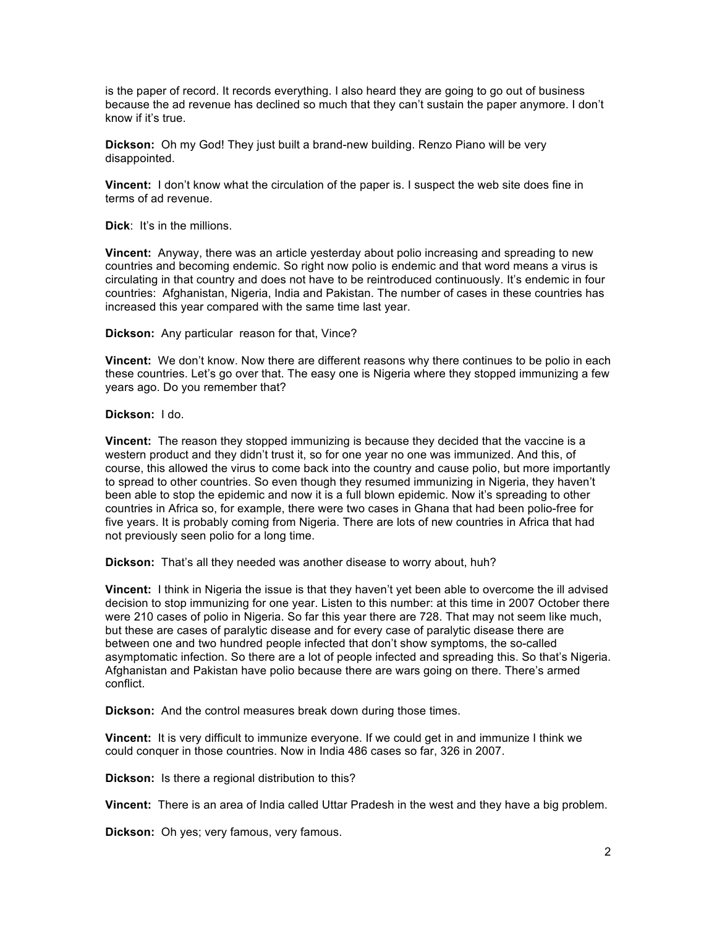is the paper of record. It records everything. I also heard they are going to go out of business because the ad revenue has declined so much that they can't sustain the paper anymore. I don't know if it's true.

**Dickson:** Oh my God! They just built a brand-new building. Renzo Piano will be very disappointed.

**Vincent:** I don't know what the circulation of the paper is. I suspect the web site does fine in terms of ad revenue.

**Dick**: It's in the millions.

**Vincent:** Anyway, there was an article yesterday about polio increasing and spreading to new countries and becoming endemic. So right now polio is endemic and that word means a virus is circulating in that country and does not have to be reintroduced continuously. It's endemic in four countries: Afghanistan, Nigeria, India and Pakistan. The number of cases in these countries has increased this year compared with the same time last year.

**Dickson:** Any particular reason for that, Vince?

**Vincent:** We don't know. Now there are different reasons why there continues to be polio in each these countries. Let's go over that. The easy one is Nigeria where they stopped immunizing a few years ago. Do you remember that?

**Dickson:** I do.

**Vincent:** The reason they stopped immunizing is because they decided that the vaccine is a western product and they didn't trust it, so for one year no one was immunized. And this, of course, this allowed the virus to come back into the country and cause polio, but more importantly to spread to other countries. So even though they resumed immunizing in Nigeria, they haven't been able to stop the epidemic and now it is a full blown epidemic. Now it's spreading to other countries in Africa so, for example, there were two cases in Ghana that had been polio-free for five years. It is probably coming from Nigeria. There are lots of new countries in Africa that had not previously seen polio for a long time.

**Dickson:** That's all they needed was another disease to worry about, huh?

**Vincent:** I think in Nigeria the issue is that they haven't yet been able to overcome the ill advised decision to stop immunizing for one year. Listen to this number: at this time in 2007 October there were 210 cases of polio in Nigeria. So far this year there are 728. That may not seem like much, but these are cases of paralytic disease and for every case of paralytic disease there are between one and two hundred people infected that don't show symptoms, the so-called asymptomatic infection. So there are a lot of people infected and spreading this. So that's Nigeria. Afghanistan and Pakistan have polio because there are wars going on there. There's armed conflict.

**Dickson:** And the control measures break down during those times.

**Vincent:** It is very difficult to immunize everyone. If we could get in and immunize I think we could conquer in those countries. Now in India 486 cases so far, 326 in 2007.

**Dickson:** Is there a regional distribution to this?

**Vincent:** There is an area of India called Uttar Pradesh in the west and they have a big problem.

**Dickson:** Oh yes; very famous, very famous.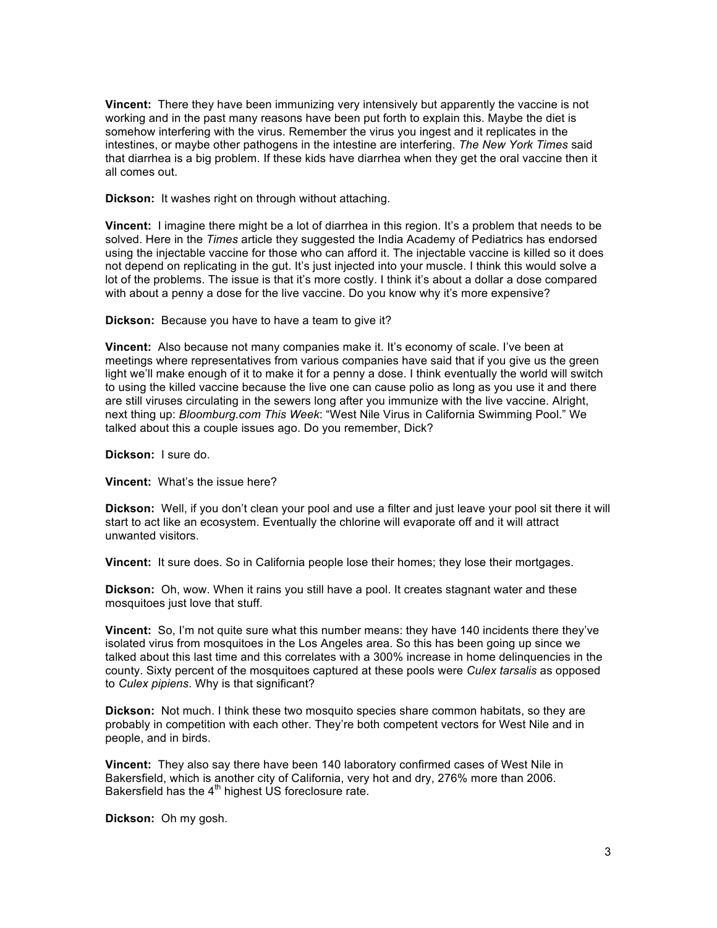**Vincent:** There they have been immunizing very intensively but apparently the vaccine is not working and in the past many reasons have been put forth to explain this. Maybe the diet is somehow interfering with the virus. Remember the virus you ingest and it replicates in the intestines, or maybe other pathogens in the intestine are interfering. *The New York Times* said that diarrhea is a big problem. If these kids have diarrhea when they get the oral vaccine then it all comes out.

**Dickson:** It washes right on through without attaching.

**Vincent:** I imagine there might be a lot of diarrhea in this region. It's a problem that needs to be solved. Here in the *Times* article they suggested the India Academy of Pediatrics has endorsed using the injectable vaccine for those who can afford it. The injectable vaccine is killed so it does not depend on replicating in the gut. It's just injected into your muscle. I think this would solve a lot of the problems. The issue is that it's more costly. I think it's about a dollar a dose compared with about a penny a dose for the live vaccine. Do you know why it's more expensive?

**Dickson:** Because you have to have a team to give it?

**Vincent:** Also because not many companies make it. It's economy of scale. I've been at meetings where representatives from various companies have said that if you give us the green light we'll make enough of it to make it for a penny a dose. I think eventually the world will switch to using the killed vaccine because the live one can cause polio as long as you use it and there are still viruses circulating in the sewers long after you immunize with the live vaccine. Alright, next thing up: *Bloomburg.com This Week*: "West Nile Virus in California Swimming Pool." We talked about this a couple issues ago. Do you remember, Dick?

**Dickson:** I sure do.

**Vincent:** What's the issue here?

**Dickson:** Well, if you don't clean your pool and use a filter and just leave your pool sit there it will start to act like an ecosystem. Eventually the chlorine will evaporate off and it will attract unwanted visitors.

**Vincent:** It sure does. So in California people lose their homes; they lose their mortgages.

**Dickson:** Oh, wow. When it rains you still have a pool. It creates stagnant water and these mosquitoes just love that stuff.

**Vincent:** So, I'm not quite sure what this number means: they have 140 incidents there they've isolated virus from mosquitoes in the Los Angeles area. So this has been going up since we talked about this last time and this correlates with a 300% increase in home delinquencies in the county. Sixty percent of the mosquitoes captured at these pools were *Culex tarsalis* as opposed to *Culex pipiens*. Why is that significant?

**Dickson:** Not much. I think these two mosquito species share common habitats, so they are probably in competition with each other. They're both competent vectors for West Nile and in people, and in birds.

**Vincent:** They also say there have been 140 laboratory confirmed cases of West Nile in Bakersfield, which is another city of California, very hot and dry, 276% more than 2006. Bakersfield has the  $4<sup>th</sup>$  highest US foreclosure rate.

**Dickson:** Oh my gosh.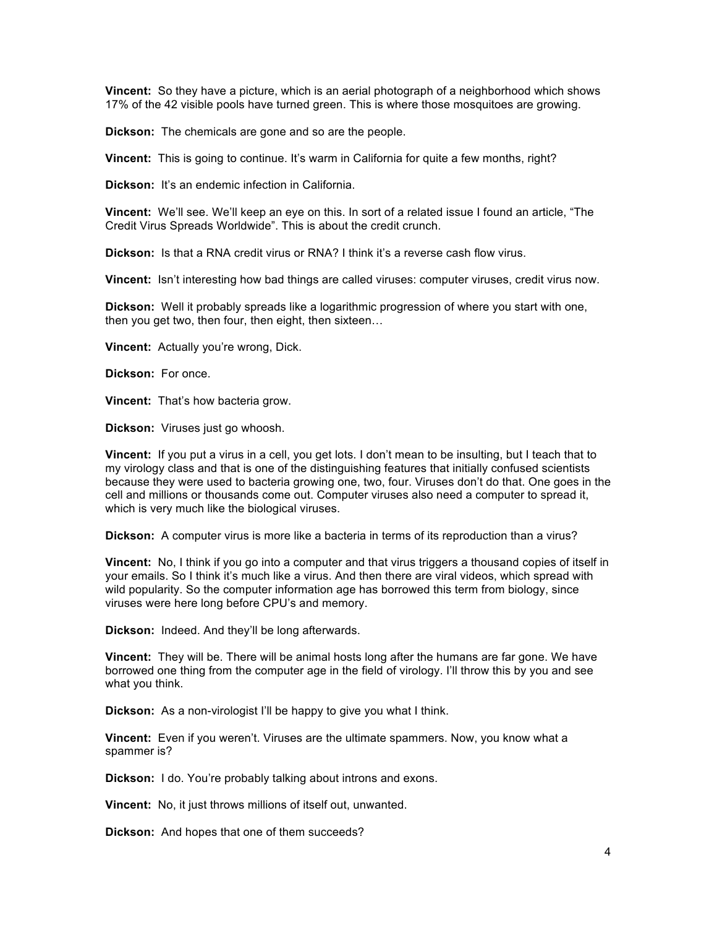**Vincent:** So they have a picture, which is an aerial photograph of a neighborhood which shows 17% of the 42 visible pools have turned green. This is where those mosquitoes are growing.

**Dickson:** The chemicals are gone and so are the people.

**Vincent:** This is going to continue. It's warm in California for quite a few months, right?

**Dickson:** It's an endemic infection in California.

**Vincent:** We'll see. We'll keep an eye on this. In sort of a related issue I found an article, "The Credit Virus Spreads Worldwide". This is about the credit crunch.

**Dickson:** Is that a RNA credit virus or RNA? I think it's a reverse cash flow virus.

**Vincent:** Isn't interesting how bad things are called viruses: computer viruses, credit virus now.

**Dickson:** Well it probably spreads like a logarithmic progression of where you start with one, then you get two, then four, then eight, then sixteen…

**Vincent:** Actually you're wrong, Dick.

**Dickson:** For once.

**Vincent:** That's how bacteria grow.

**Dickson:** Viruses just go whoosh.

**Vincent:** If you put a virus in a cell, you get lots. I don't mean to be insulting, but I teach that to my virology class and that is one of the distinguishing features that initially confused scientists because they were used to bacteria growing one, two, four. Viruses don't do that. One goes in the cell and millions or thousands come out. Computer viruses also need a computer to spread it, which is very much like the biological viruses.

**Dickson:** A computer virus is more like a bacteria in terms of its reproduction than a virus?

**Vincent:** No, I think if you go into a computer and that virus triggers a thousand copies of itself in your emails. So I think it's much like a virus. And then there are viral videos, which spread with wild popularity. So the computer information age has borrowed this term from biology, since viruses were here long before CPU's and memory.

**Dickson:** Indeed. And they'll be long afterwards.

**Vincent:** They will be. There will be animal hosts long after the humans are far gone. We have borrowed one thing from the computer age in the field of virology. I'll throw this by you and see what you think.

**Dickson:** As a non-virologist I'll be happy to give you what I think.

**Vincent:** Even if you weren't. Viruses are the ultimate spammers. Now, you know what a spammer is?

**Dickson:** I do. You're probably talking about introns and exons.

**Vincent:** No, it just throws millions of itself out, unwanted.

**Dickson:** And hopes that one of them succeeds?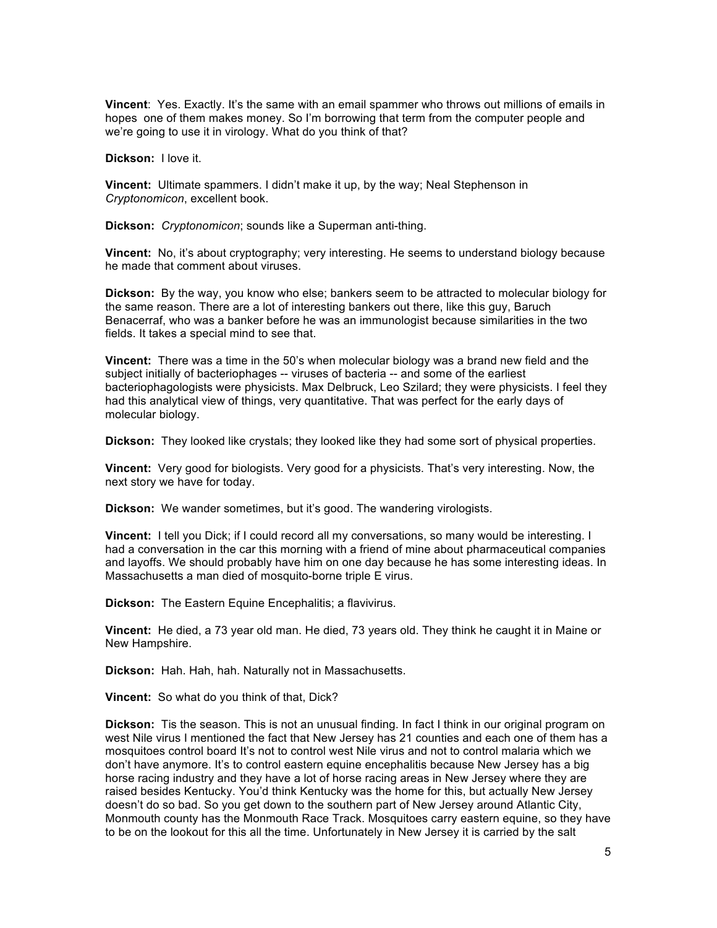**Vincent**: Yes. Exactly. It's the same with an email spammer who throws out millions of emails in hopes one of them makes money. So I'm borrowing that term from the computer people and we're going to use it in virology. What do you think of that?

**Dickson:** I love it.

**Vincent:** Ultimate spammers. I didn't make it up, by the way; Neal Stephenson in *Cryptonomicon*, excellent book.

**Dickson:** *Cryptonomicon*; sounds like a Superman anti-thing.

**Vincent:** No, it's about cryptography; very interesting. He seems to understand biology because he made that comment about viruses.

**Dickson:** By the way, you know who else; bankers seem to be attracted to molecular biology for the same reason. There are a lot of interesting bankers out there, like this guy, Baruch Benacerraf, who was a banker before he was an immunologist because similarities in the two fields. It takes a special mind to see that.

**Vincent:** There was a time in the 50's when molecular biology was a brand new field and the subject initially of bacteriophages -- viruses of bacteria -- and some of the earliest bacteriophagologists were physicists. Max Delbruck, Leo Szilard; they were physicists. I feel they had this analytical view of things, very quantitative. That was perfect for the early days of molecular biology.

**Dickson:** They looked like crystals; they looked like they had some sort of physical properties.

**Vincent:** Very good for biologists. Very good for a physicists. That's very interesting. Now, the next story we have for today.

**Dickson:** We wander sometimes, but it's good. The wandering virologists.

**Vincent:** I tell you Dick; if I could record all my conversations, so many would be interesting. I had a conversation in the car this morning with a friend of mine about pharmaceutical companies and layoffs. We should probably have him on one day because he has some interesting ideas. In Massachusetts a man died of mosquito-borne triple E virus.

**Dickson:** The Eastern Equine Encephalitis; a flavivirus.

**Vincent:** He died, a 73 year old man. He died, 73 years old. They think he caught it in Maine or New Hampshire.

**Dickson:** Hah. Hah, hah. Naturally not in Massachusetts.

**Vincent:** So what do you think of that, Dick?

**Dickson:** Tis the season. This is not an unusual finding. In fact I think in our original program on west Nile virus I mentioned the fact that New Jersey has 21 counties and each one of them has a mosquitoes control board It's not to control west Nile virus and not to control malaria which we don't have anymore. It's to control eastern equine encephalitis because New Jersey has a big horse racing industry and they have a lot of horse racing areas in New Jersey where they are raised besides Kentucky. You'd think Kentucky was the home for this, but actually New Jersey doesn't do so bad. So you get down to the southern part of New Jersey around Atlantic City, Monmouth county has the Monmouth Race Track. Mosquitoes carry eastern equine, so they have to be on the lookout for this all the time. Unfortunately in New Jersey it is carried by the salt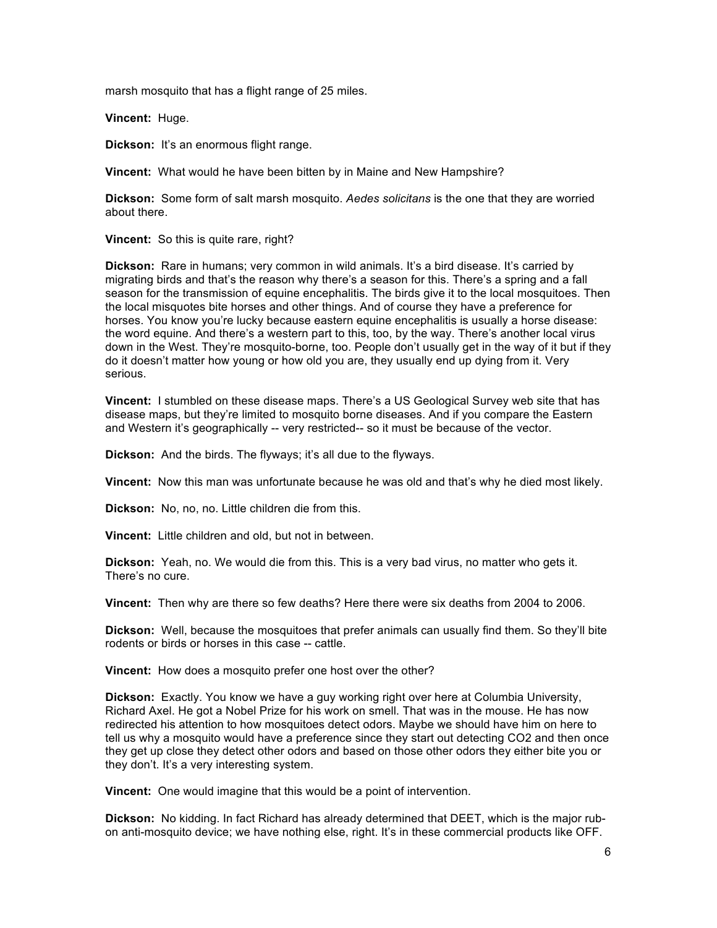marsh mosquito that has a flight range of 25 miles.

**Vincent:** Huge.

**Dickson:** It's an enormous flight range.

**Vincent:** What would he have been bitten by in Maine and New Hampshire?

**Dickson:** Some form of salt marsh mosquito. *Aedes solicitans* is the one that they are worried about there.

**Vincent:** So this is quite rare, right?

**Dickson:** Rare in humans; very common in wild animals. It's a bird disease. It's carried by migrating birds and that's the reason why there's a season for this. There's a spring and a fall season for the transmission of equine encephalitis. The birds give it to the local mosquitoes. Then the local misquotes bite horses and other things. And of course they have a preference for horses. You know you're lucky because eastern equine encephalitis is usually a horse disease: the word equine. And there's a western part to this, too, by the way. There's another local virus down in the West. They're mosquito-borne, too. People don't usually get in the way of it but if they do it doesn't matter how young or how old you are, they usually end up dying from it. Very serious.

**Vincent:** I stumbled on these disease maps. There's a US Geological Survey web site that has disease maps, but they're limited to mosquito borne diseases. And if you compare the Eastern and Western it's geographically -- very restricted-- so it must be because of the vector.

**Dickson:** And the birds. The flyways; it's all due to the flyways.

**Vincent:** Now this man was unfortunate because he was old and that's why he died most likely.

**Dickson:** No, no, no. Little children die from this.

**Vincent:** Little children and old, but not in between.

**Dickson:** Yeah, no. We would die from this. This is a very bad virus, no matter who gets it. There's no cure.

**Vincent:** Then why are there so few deaths? Here there were six deaths from 2004 to 2006.

**Dickson:** Well, because the mosquitoes that prefer animals can usually find them. So they'll bite rodents or birds or horses in this case -- cattle.

**Vincent:** How does a mosquito prefer one host over the other?

**Dickson:** Exactly. You know we have a guy working right over here at Columbia University, Richard Axel. He got a Nobel Prize for his work on smell. That was in the mouse. He has now redirected his attention to how mosquitoes detect odors. Maybe we should have him on here to tell us why a mosquito would have a preference since they start out detecting CO2 and then once they get up close they detect other odors and based on those other odors they either bite you or they don't. It's a very interesting system.

**Vincent:** One would imagine that this would be a point of intervention.

**Dickson:** No kidding. In fact Richard has already determined that DEET, which is the major rubon anti-mosquito device; we have nothing else, right. It's in these commercial products like OFF.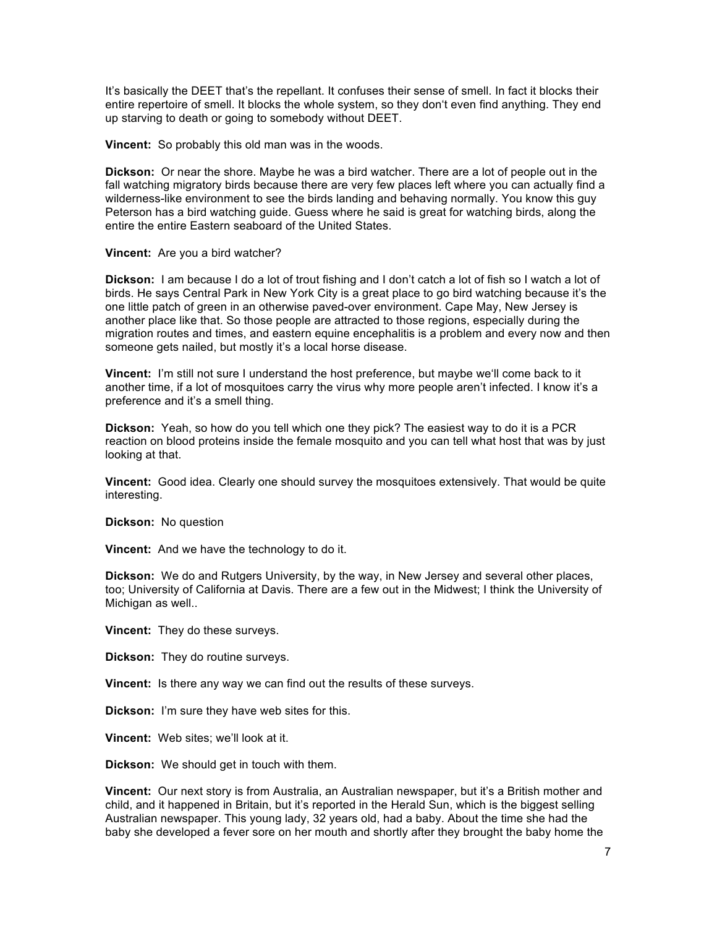It's basically the DEET that's the repellant. It confuses their sense of smell. In fact it blocks their entire repertoire of smell. It blocks the whole system, so they don't even find anything. They end up starving to death or going to somebody without DEET.

**Vincent:** So probably this old man was in the woods.

**Dickson:** Or near the shore. Maybe he was a bird watcher. There are a lot of people out in the fall watching migratory birds because there are very few places left where you can actually find a wilderness-like environment to see the birds landing and behaving normally. You know this guy Peterson has a bird watching guide. Guess where he said is great for watching birds, along the entire the entire Eastern seaboard of the United States.

### **Vincent:** Are you a bird watcher?

**Dickson:** I am because I do a lot of trout fishing and I don't catch a lot of fish so I watch a lot of birds. He says Central Park in New York City is a great place to go bird watching because it's the one little patch of green in an otherwise paved-over environment. Cape May, New Jersey is another place like that. So those people are attracted to those regions, especially during the migration routes and times, and eastern equine encephalitis is a problem and every now and then someone gets nailed, but mostly it's a local horse disease.

**Vincent:** I'm still not sure I understand the host preference, but maybe we'll come back to it another time, if a lot of mosquitoes carry the virus why more people aren't infected. I know it's a preference and it's a smell thing.

**Dickson:** Yeah, so how do you tell which one they pick? The easiest way to do it is a PCR reaction on blood proteins inside the female mosquito and you can tell what host that was by just looking at that.

**Vincent:** Good idea. Clearly one should survey the mosquitoes extensively. That would be quite interesting.

**Dickson:** No question

**Vincent:** And we have the technology to do it.

**Dickson:** We do and Rutgers University, by the way, in New Jersey and several other places, too; University of California at Davis. There are a few out in the Midwest; I think the University of Michigan as well..

**Vincent:** They do these surveys.

**Dickson:** They do routine surveys.

**Vincent:** Is there any way we can find out the results of these surveys.

**Dickson:** I'm sure they have web sites for this.

**Vincent:** Web sites; we'll look at it.

**Dickson:** We should get in touch with them.

**Vincent:** Our next story is from Australia, an Australian newspaper, but it's a British mother and child, and it happened in Britain, but it's reported in the Herald Sun, which is the biggest selling Australian newspaper. This young lady, 32 years old, had a baby. About the time she had the baby she developed a fever sore on her mouth and shortly after they brought the baby home the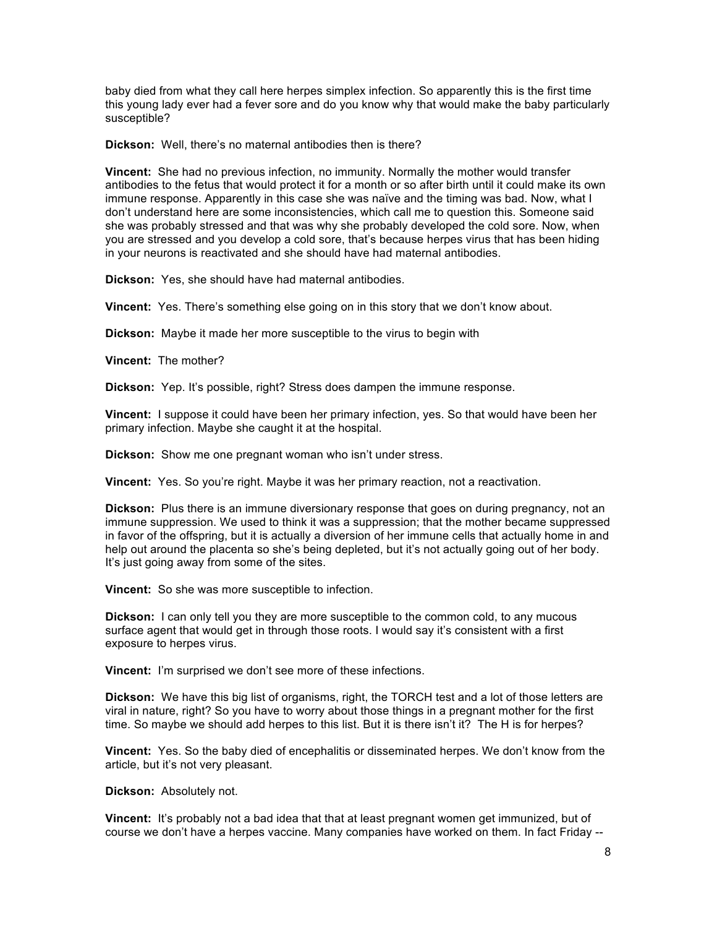baby died from what they call here herpes simplex infection. So apparently this is the first time this young lady ever had a fever sore and do you know why that would make the baby particularly susceptible?

**Dickson:** Well, there's no maternal antibodies then is there?

**Vincent:** She had no previous infection, no immunity. Normally the mother would transfer antibodies to the fetus that would protect it for a month or so after birth until it could make its own immune response. Apparently in this case she was naïve and the timing was bad. Now, what I don't understand here are some inconsistencies, which call me to question this. Someone said she was probably stressed and that was why she probably developed the cold sore. Now, when you are stressed and you develop a cold sore, that's because herpes virus that has been hiding in your neurons is reactivated and she should have had maternal antibodies.

**Dickson:** Yes, she should have had maternal antibodies.

**Vincent:** Yes. There's something else going on in this story that we don't know about.

**Dickson:** Maybe it made her more susceptible to the virus to begin with

**Vincent:** The mother?

**Dickson:** Yep. It's possible, right? Stress does dampen the immune response.

**Vincent:** I suppose it could have been her primary infection, yes. So that would have been her primary infection. Maybe she caught it at the hospital.

**Dickson:** Show me one pregnant woman who isn't under stress.

**Vincent:** Yes. So you're right. Maybe it was her primary reaction, not a reactivation.

**Dickson:** Plus there is an immune diversionary response that goes on during pregnancy, not an immune suppression. We used to think it was a suppression; that the mother became suppressed in favor of the offspring, but it is actually a diversion of her immune cells that actually home in and help out around the placenta so she's being depleted, but it's not actually going out of her body. It's just going away from some of the sites.

**Vincent:** So she was more susceptible to infection.

**Dickson:** I can only tell you they are more susceptible to the common cold, to any mucous surface agent that would get in through those roots. I would say it's consistent with a first exposure to herpes virus.

**Vincent:** I'm surprised we don't see more of these infections.

**Dickson:** We have this big list of organisms, right, the TORCH test and a lot of those letters are viral in nature, right? So you have to worry about those things in a pregnant mother for the first time. So maybe we should add herpes to this list. But it is there isn't it? The H is for herpes?

**Vincent:** Yes. So the baby died of encephalitis or disseminated herpes. We don't know from the article, but it's not very pleasant.

**Dickson:** Absolutely not.

**Vincent:** It's probably not a bad idea that that at least pregnant women get immunized, but of course we don't have a herpes vaccine. Many companies have worked on them. In fact Friday --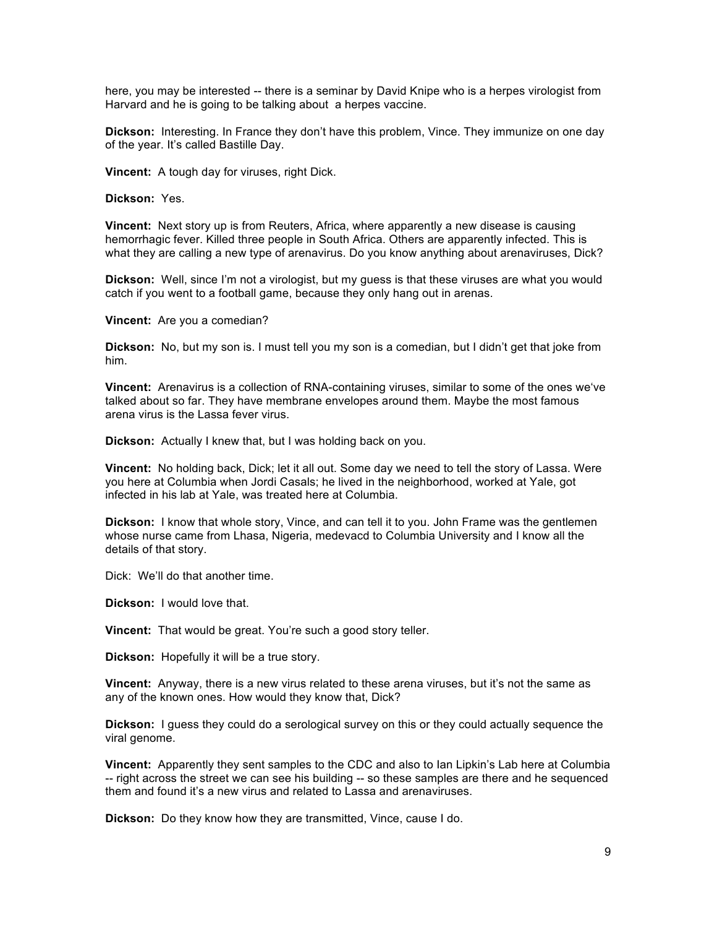here, you may be interested -- there is a seminar by David Knipe who is a herpes virologist from Harvard and he is going to be talking about a herpes vaccine.

**Dickson:** Interesting. In France they don't have this problem, Vince. They immunize on one day of the year. It's called Bastille Day.

**Vincent:** A tough day for viruses, right Dick.

**Dickson:** Yes.

**Vincent:** Next story up is from Reuters, Africa, where apparently a new disease is causing hemorrhagic fever. Killed three people in South Africa. Others are apparently infected. This is what they are calling a new type of arenavirus. Do you know anything about arenaviruses, Dick?

**Dickson:** Well, since I'm not a virologist, but my guess is that these viruses are what you would catch if you went to a football game, because they only hang out in arenas.

**Vincent:** Are you a comedian?

**Dickson:** No, but my son is. I must tell you my son is a comedian, but I didn't get that joke from him.

**Vincent:** Arenavirus is a collection of RNA-containing viruses, similar to some of the ones we've talked about so far. They have membrane envelopes around them. Maybe the most famous arena virus is the Lassa fever virus.

**Dickson:** Actually I knew that, but I was holding back on you.

**Vincent:** No holding back, Dick; let it all out. Some day we need to tell the story of Lassa. Were you here at Columbia when Jordi Casals; he lived in the neighborhood, worked at Yale, got infected in his lab at Yale, was treated here at Columbia.

**Dickson:** I know that whole story, Vince, and can tell it to you. John Frame was the gentlemen whose nurse came from Lhasa, Nigeria, medevacd to Columbia University and I know all the details of that story.

Dick: We'll do that another time.

**Dickson:** I would love that.

**Vincent:** That would be great. You're such a good story teller.

**Dickson:** Hopefully it will be a true story.

**Vincent:** Anyway, there is a new virus related to these arena viruses, but it's not the same as any of the known ones. How would they know that, Dick?

**Dickson:** I guess they could do a serological survey on this or they could actually sequence the viral genome.

**Vincent:** Apparently they sent samples to the CDC and also to Ian Lipkin's Lab here at Columbia -- right across the street we can see his building -- so these samples are there and he sequenced them and found it's a new virus and related to Lassa and arenaviruses.

**Dickson:** Do they know how they are transmitted, Vince, cause I do.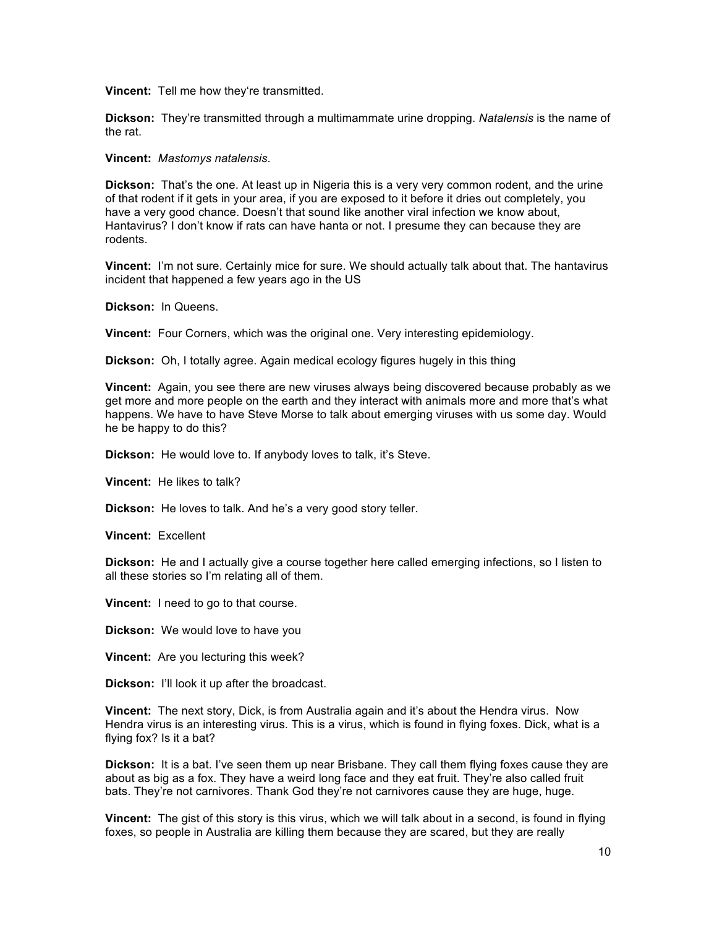**Vincent:** Tell me how they're transmitted.

**Dickson:** They're transmitted through a multimammate urine dropping. *Natalensis* is the name of the rat.

**Vincent:** *Mastomys natalensis*.

**Dickson:** That's the one. At least up in Nigeria this is a very very common rodent, and the urine of that rodent if it gets in your area, if you are exposed to it before it dries out completely, you have a very good chance. Doesn't that sound like another viral infection we know about, Hantavirus? I don't know if rats can have hanta or not. I presume they can because they are rodents.

**Vincent:** I'm not sure. Certainly mice for sure. We should actually talk about that. The hantavirus incident that happened a few years ago in the US

**Dickson:** In Queens.

**Vincent:** Four Corners, which was the original one. Very interesting epidemiology.

**Dickson:** Oh, I totally agree. Again medical ecology figures hugely in this thing

**Vincent:** Again, you see there are new viruses always being discovered because probably as we get more and more people on the earth and they interact with animals more and more that's what happens. We have to have Steve Morse to talk about emerging viruses with us some day. Would he be happy to do this?

**Dickson:** He would love to. If anybody loves to talk, it's Steve.

**Vincent:** He likes to talk?

**Dickson:** He loves to talk. And he's a very good story teller.

**Vincent:** Excellent

**Dickson:** He and I actually give a course together here called emerging infections, so I listen to all these stories so I'm relating all of them.

**Vincent:** I need to go to that course.

**Dickson:** We would love to have you

**Vincent:** Are you lecturing this week?

**Dickson:** I'll look it up after the broadcast.

**Vincent:** The next story, Dick, is from Australia again and it's about the Hendra virus. Now Hendra virus is an interesting virus. This is a virus, which is found in flying foxes. Dick, what is a flying fox? Is it a bat?

**Dickson:** It is a bat. I've seen them up near Brisbane. They call them flying foxes cause they are about as big as a fox. They have a weird long face and they eat fruit. They're also called fruit bats. They're not carnivores. Thank God they're not carnivores cause they are huge, huge.

**Vincent:** The gist of this story is this virus, which we will talk about in a second, is found in flying foxes, so people in Australia are killing them because they are scared, but they are really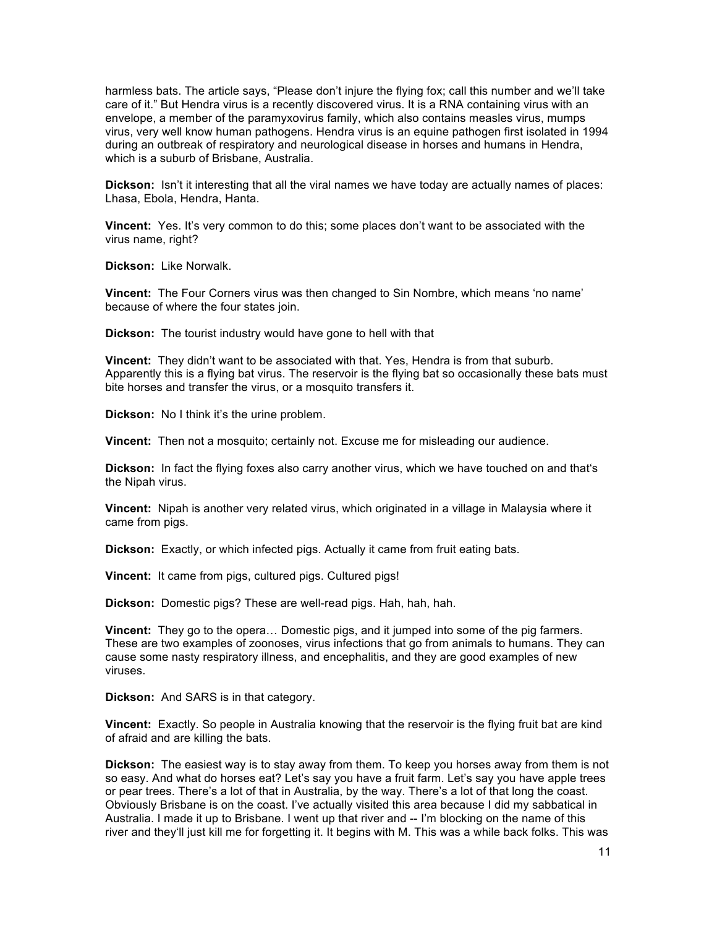harmless bats. The article says, "Please don't injure the flying fox; call this number and we'll take care of it." But Hendra virus is a recently discovered virus. It is a RNA containing virus with an envelope, a member of the paramyxovirus family, which also contains measles virus, mumps virus, very well know human pathogens. Hendra virus is an equine pathogen first isolated in 1994 during an outbreak of respiratory and neurological disease in horses and humans in Hendra, which is a suburb of Brisbane, Australia.

**Dickson:** Isn't it interesting that all the viral names we have today are actually names of places: Lhasa, Ebola, Hendra, Hanta.

**Vincent:** Yes. It's very common to do this; some places don't want to be associated with the virus name, right?

**Dickson:** Like Norwalk.

**Vincent:** The Four Corners virus was then changed to Sin Nombre, which means 'no name' because of where the four states join.

**Dickson:** The tourist industry would have gone to hell with that

**Vincent:** They didn't want to be associated with that. Yes, Hendra is from that suburb. Apparently this is a flying bat virus. The reservoir is the flying bat so occasionally these bats must bite horses and transfer the virus, or a mosquito transfers it.

**Dickson:** No I think it's the urine problem.

**Vincent:** Then not a mosquito; certainly not. Excuse me for misleading our audience.

**Dickson:** In fact the flying foxes also carry another virus, which we have touched on and that's the Nipah virus.

**Vincent:** Nipah is another very related virus, which originated in a village in Malaysia where it came from pigs.

**Dickson:** Exactly, or which infected pigs. Actually it came from fruit eating bats.

**Vincent:** It came from pigs, cultured pigs. Cultured pigs!

**Dickson:** Domestic pigs? These are well-read pigs. Hah, hah, hah.

**Vincent:** They go to the opera… Domestic pigs, and it jumped into some of the pig farmers. These are two examples of zoonoses, virus infections that go from animals to humans. They can cause some nasty respiratory illness, and encephalitis, and they are good examples of new viruses.

**Dickson:** And SARS is in that category.

**Vincent:** Exactly. So people in Australia knowing that the reservoir is the flying fruit bat are kind of afraid and are killing the bats.

**Dickson:** The easiest way is to stay away from them. To keep you horses away from them is not so easy. And what do horses eat? Let's say you have a fruit farm. Let's say you have apple trees or pear trees. There's a lot of that in Australia, by the way. There's a lot of that long the coast. Obviously Brisbane is on the coast. I've actually visited this area because I did my sabbatical in Australia. I made it up to Brisbane. I went up that river and -- I'm blocking on the name of this river and they'll just kill me for forgetting it. It begins with M. This was a while back folks. This was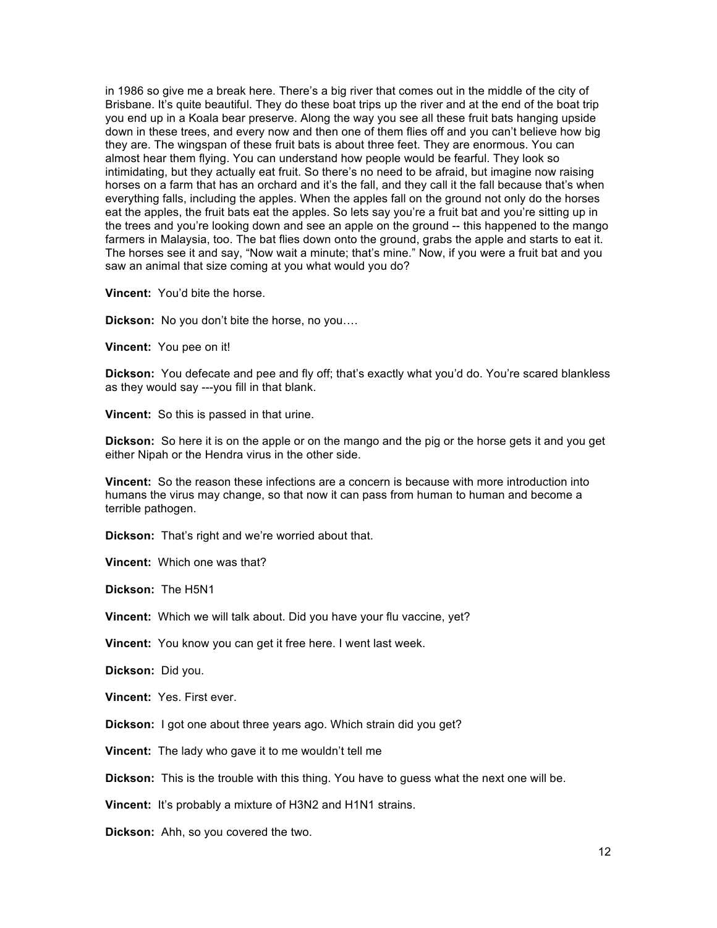in 1986 so give me a break here. There's a big river that comes out in the middle of the city of Brisbane. It's quite beautiful. They do these boat trips up the river and at the end of the boat trip you end up in a Koala bear preserve. Along the way you see all these fruit bats hanging upside down in these trees, and every now and then one of them flies off and you can't believe how big they are. The wingspan of these fruit bats is about three feet. They are enormous. You can almost hear them flying. You can understand how people would be fearful. They look so intimidating, but they actually eat fruit. So there's no need to be afraid, but imagine now raising horses on a farm that has an orchard and it's the fall, and they call it the fall because that's when everything falls, including the apples. When the apples fall on the ground not only do the horses eat the apples, the fruit bats eat the apples. So lets say you're a fruit bat and you're sitting up in the trees and you're looking down and see an apple on the ground -- this happened to the mango farmers in Malaysia, too. The bat flies down onto the ground, grabs the apple and starts to eat it. The horses see it and say, "Now wait a minute; that's mine." Now, if you were a fruit bat and you saw an animal that size coming at you what would you do?

**Vincent:** You'd bite the horse.

**Dickson:** No you don't bite the horse, no you….

**Vincent:** You pee on it!

**Dickson:** You defecate and pee and fly off; that's exactly what you'd do. You're scared blankless as they would say ---you fill in that blank.

**Vincent:** So this is passed in that urine.

**Dickson:** So here it is on the apple or on the mango and the pig or the horse gets it and you get either Nipah or the Hendra virus in the other side.

**Vincent:** So the reason these infections are a concern is because with more introduction into humans the virus may change, so that now it can pass from human to human and become a terrible pathogen.

**Dickson:** That's right and we're worried about that.

**Vincent:** Which one was that?

**Dickson:** The H5N1

**Vincent:** Which we will talk about. Did you have your flu vaccine, yet?

**Vincent:** You know you can get it free here. I went last week.

**Dickson:** Did you.

**Vincent:** Yes. First ever.

**Dickson:** I got one about three years ago. Which strain did you get?

**Vincent:** The lady who gave it to me wouldn't tell me

**Dickson:** This is the trouble with this thing. You have to guess what the next one will be.

**Vincent:** It's probably a mixture of H3N2 and H1N1 strains.

**Dickson:** Ahh, so you covered the two.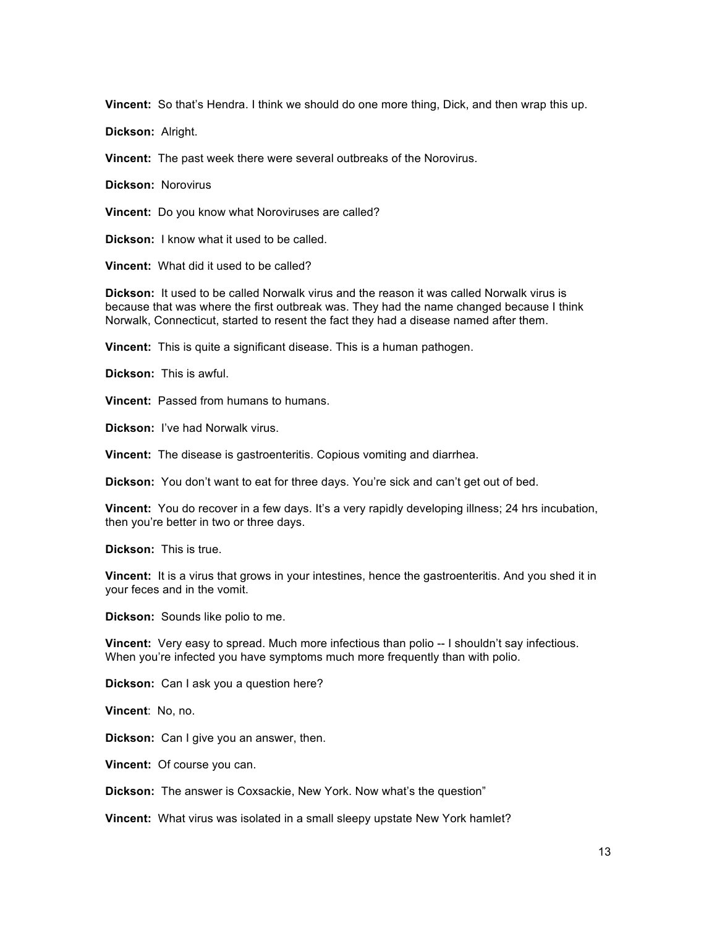**Vincent:** So that's Hendra. I think we should do one more thing, Dick, and then wrap this up.

**Dickson:** Alright.

**Vincent:** The past week there were several outbreaks of the Norovirus.

**Dickson:** Norovirus

**Vincent:** Do you know what Noroviruses are called?

**Dickson:** I know what it used to be called.

**Vincent:** What did it used to be called?

**Dickson:** It used to be called Norwalk virus and the reason it was called Norwalk virus is because that was where the first outbreak was. They had the name changed because I think Norwalk, Connecticut, started to resent the fact they had a disease named after them.

**Vincent:** This is quite a significant disease. This is a human pathogen.

**Dickson:** This is awful.

**Vincent:** Passed from humans to humans.

**Dickson:** I've had Norwalk virus.

**Vincent:** The disease is gastroenteritis. Copious vomiting and diarrhea.

**Dickson:** You don't want to eat for three days. You're sick and can't get out of bed.

**Vincent:** You do recover in a few days. It's a very rapidly developing illness; 24 hrs incubation, then you're better in two or three days.

**Dickson:** This is true.

**Vincent:** It is a virus that grows in your intestines, hence the gastroenteritis. And you shed it in your feces and in the vomit.

**Dickson:** Sounds like polio to me.

**Vincent:** Very easy to spread. Much more infectious than polio -- I shouldn't say infectious. When you're infected you have symptoms much more frequently than with polio.

**Dickson:** Can I ask you a question here?

**Vincent**: No, no.

**Dickson:** Can I give you an answer, then.

**Vincent:** Of course you can.

**Dickson:** The answer is Coxsackie, New York. Now what's the question"

**Vincent:** What virus was isolated in a small sleepy upstate New York hamlet?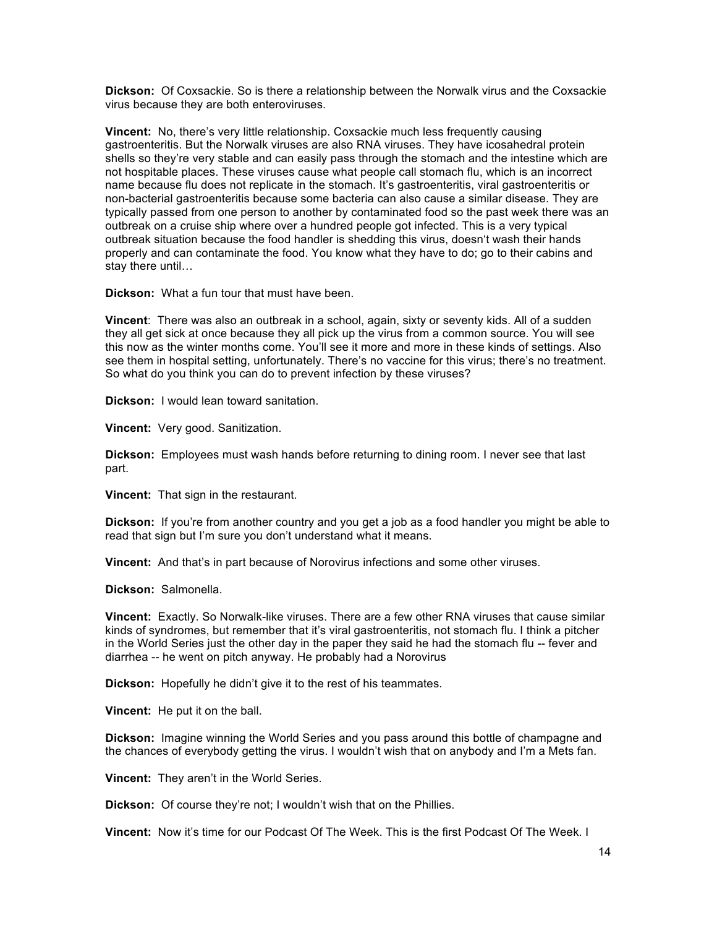**Dickson:** Of Coxsackie. So is there a relationship between the Norwalk virus and the Coxsackie virus because they are both enteroviruses.

**Vincent:** No, there's very little relationship. Coxsackie much less frequently causing gastroenteritis. But the Norwalk viruses are also RNA viruses. They have icosahedral protein shells so they're very stable and can easily pass through the stomach and the intestine which are not hospitable places. These viruses cause what people call stomach flu, which is an incorrect name because flu does not replicate in the stomach. It's gastroenteritis, viral gastroenteritis or non-bacterial gastroenteritis because some bacteria can also cause a similar disease. They are typically passed from one person to another by contaminated food so the past week there was an outbreak on a cruise ship where over a hundred people got infected. This is a very typical outbreak situation because the food handler is shedding this virus, doesn't wash their hands properly and can contaminate the food. You know what they have to do; go to their cabins and stay there until…

**Dickson:** What a fun tour that must have been.

**Vincent**: There was also an outbreak in a school, again, sixty or seventy kids. All of a sudden they all get sick at once because they all pick up the virus from a common source. You will see this now as the winter months come. You'll see it more and more in these kinds of settings. Also see them in hospital setting, unfortunately. There's no vaccine for this virus; there's no treatment. So what do you think you can do to prevent infection by these viruses?

**Dickson:** I would lean toward sanitation.

**Vincent:** Very good. Sanitization.

**Dickson:** Employees must wash hands before returning to dining room. I never see that last part.

**Vincent:** That sign in the restaurant.

**Dickson:** If you're from another country and you get a job as a food handler you might be able to read that sign but I'm sure you don't understand what it means.

**Vincent:** And that's in part because of Norovirus infections and some other viruses.

**Dickson:** Salmonella.

**Vincent:** Exactly. So Norwalk-like viruses. There are a few other RNA viruses that cause similar kinds of syndromes, but remember that it's viral gastroenteritis, not stomach flu. I think a pitcher in the World Series just the other day in the paper they said he had the stomach flu -- fever and diarrhea -- he went on pitch anyway. He probably had a Norovirus

**Dickson:** Hopefully he didn't give it to the rest of his teammates.

**Vincent:** He put it on the ball.

**Dickson:** Imagine winning the World Series and you pass around this bottle of champagne and the chances of everybody getting the virus. I wouldn't wish that on anybody and I'm a Mets fan.

**Vincent:** They aren't in the World Series.

**Dickson:** Of course they're not; I wouldn't wish that on the Phillies.

**Vincent:** Now it's time for our Podcast Of The Week. This is the first Podcast Of The Week. I